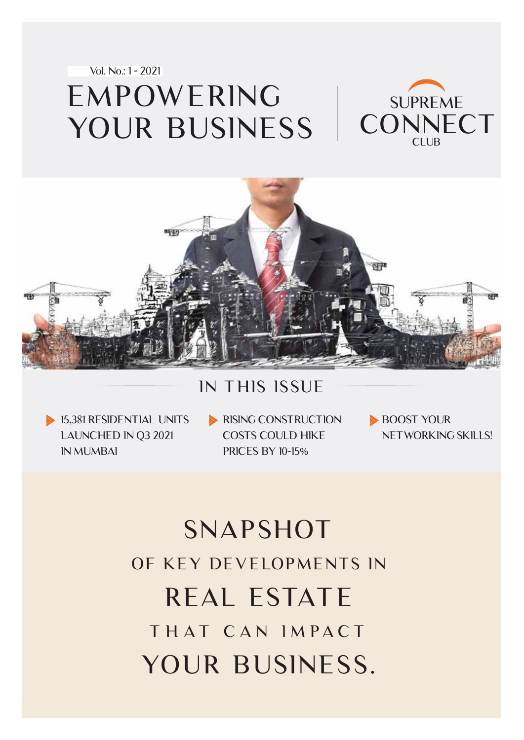



### IN THIS ISSUE

15,381 RESIDENTIAL UNITS LAUNCHED IN Q3 2021 IN MUMBAI

RISING CONSTRUCTION COSTS COULD HIKE PRICES BY 10-15%

BOOST YOUR NETWORKING SKILLS!

# SNAPSHOT OF KEY DEVELOPMENTS IN THAT CAN IMPACT REAL ESTATE YOUR BUSINESS.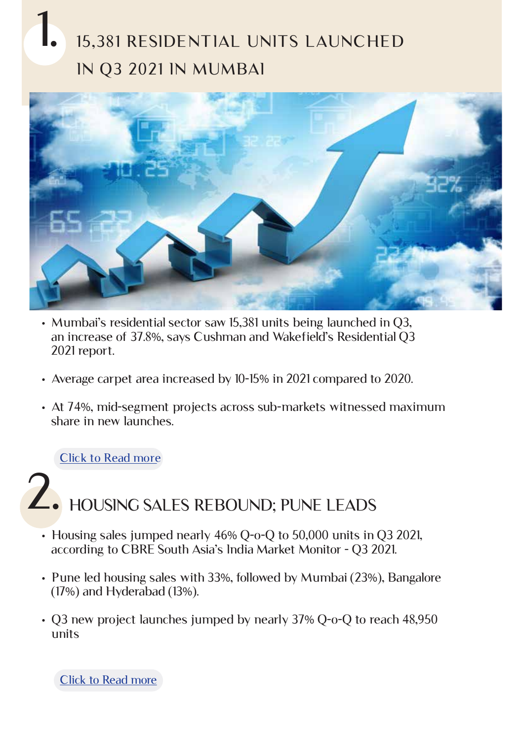# 15,381 RESIDENTIAL UNITS LAUNCHED IN Q3 2021 IN MUMBAI 1.



- Mumbai's residential sector saw 15,381 units being launched in Q3, an increase of 37.8%, says Cushman and Wakefield's Residential Q3 2021 report.
- Average carpet area increased by 10-15% in 2021 compared to 2020.
- At 74%, mid-segment projects across sub-markets witnessed maximum share in new launches.

[Click to Read more](https://www.cushmanwakefield.com/en/india/insights/mumbai-marketbeat)

## HOUSING SALES REBOUND; PUNE LEADS 2.

- Housing sales jumped nearly 46% Q-o-Q to 50,000 units in Q3 2021, according to CBRE South Asia's India Market Monitor - Q3 2021.
- Pune led housing sales with 33%, followed by Mumbai (23%), Bangalore (17%) and Hyderabad (13%).
- Q3 new project launches jumped by nearly 37% Q-o-Q to reach 48,950 units

[Click to Read more](https://www.constructionweekonline.in/business/20714-strong-recovery-witnessed-across-real-estate-in-q3-2021-residential-at-the-forefront-of-revival)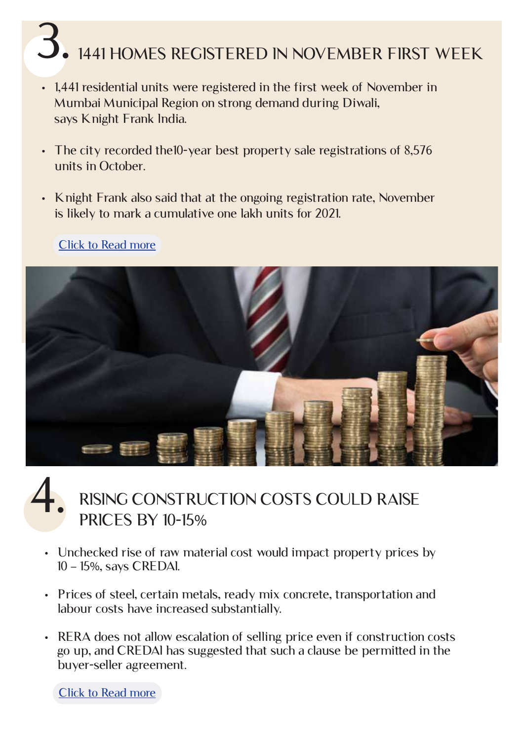# 3. 1441 HOMES REGISTERED IN NOVEMBER FIRST WEEK

- 1,441 residential units were registered in the first week of November in Mumbai Municipal Region on strong demand during Diwali, says Knight Frank India.
- The city recorded the10-year best property sale registrations of 8,576 units in October.
- Knight Frank also said that at the ongoing registration rate, November is likely to mark a cumulative one lakh units for 2021.



#### [Click to Read more](https://realty.economictimes.indiatimes.com/news/residential/over-1400-homes-registered-in-mumbai-during-first-week-of-november/87609336)

### RISING CONSTRUCTION COSTS COULD RAISE PRICES BY 10-15% 4.

- Unchecked rise of raw material cost would impact property prices by 10 – 15%, says CREDAI.
- Prices of steel, certain metals, ready mix concrete, transportation and labour costs have increased substantially.
- RERA does not allow escalation of selling price even if construction costs go up, and CREDAI has suggested that such a clause be permitted in the buyer-seller agreement.

[Click to Read more](https://realty.economictimes.indiatimes.com/news/industry/property-prices-may-go-up-by-10-15-due-to-sharp-rise-in-raw-materials-cost-credai/87750685)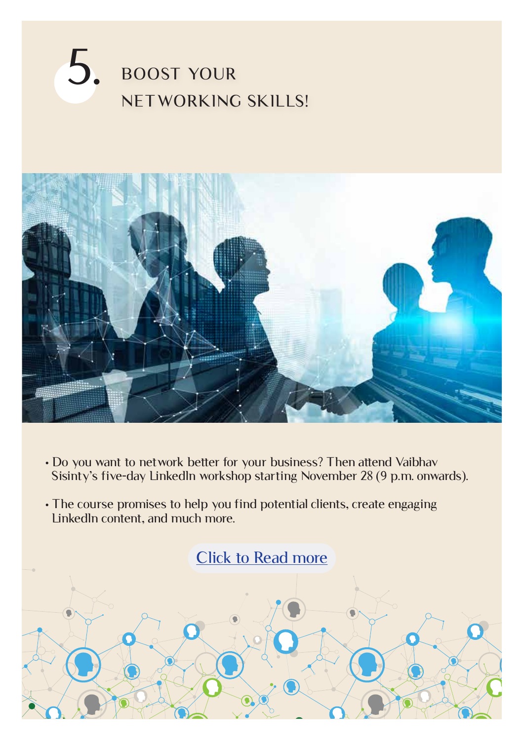### BOOST YOUR NETWORKING SKILLS! 5.



- Do you want to network better for your business? Then attend Vaibhav Sisinty's five-day LinkedIn workshop starting November 28 (9 p.m. onwards).
- The course promises to help you find potential clients, create engaging LinkedIn content, and much more.

[Click to Read more](https://growthschool.io/workshop/linkedin-5-day-workshop/)